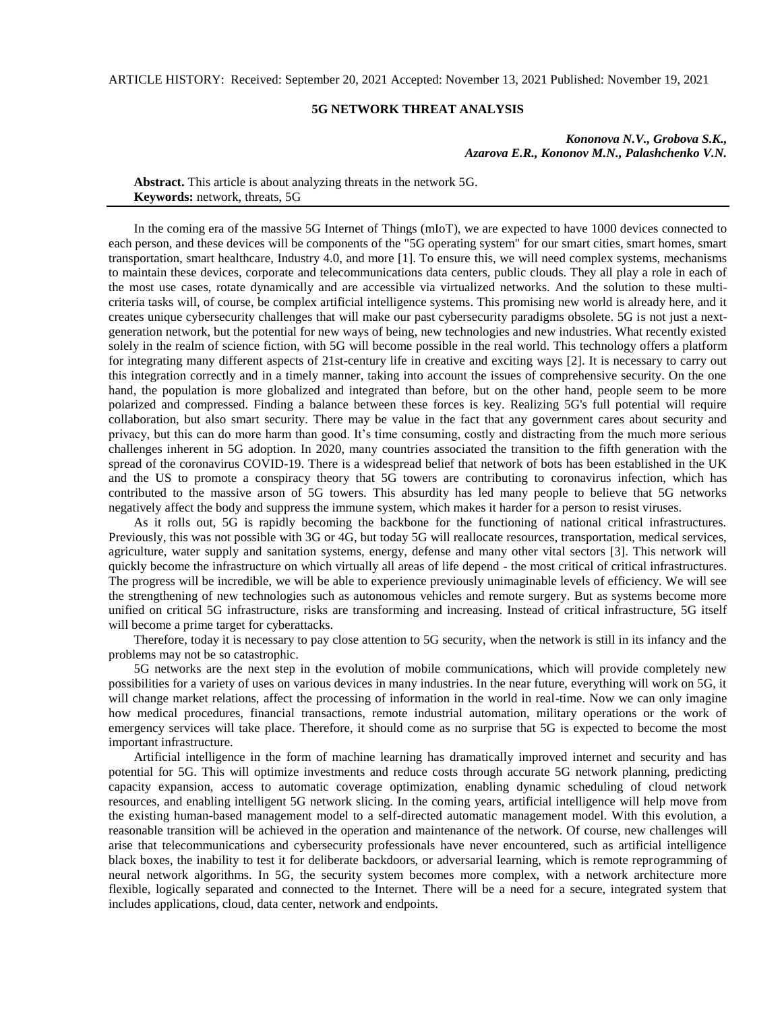ARTICLE HISTORY: Received: September 20, 2021 Accepted: November 13, 2021 Published: November 19, 2021

## **5G NETWORK THREAT ANALYSIS**

*Kononova N.V., Grobova S.K., Azarova E.R., Kononov M.N., Palashchenko V.N.*

**Abstract.** This article is about analyzing threats in the network 5G. **Keywords:** network, threats, 5G

In the coming era of the massive 5G Internet of Things (mIoT), we are expected to have 1000 devices connected to each person, and these devices will be components of the "5G operating system" for our smart cities, smart homes, smart transportation, smart healthcare, Industry 4.0, and more [1]. To ensure this, we will need complex systems, mechanisms to maintain these devices, corporate and telecommunications data centers, public clouds. They all play a role in each of the most use cases, rotate dynamically and are accessible via virtualized networks. And the solution to these multicriteria tasks will, of course, be complex artificial intelligence systems. This promising new world is already here, and it creates unique cybersecurity challenges that will make our past cybersecurity paradigms obsolete. 5G is not just a nextgeneration network, but the potential for new ways of being, new technologies and new industries. What recently existed solely in the realm of science fiction, with 5G will become possible in the real world. This technology offers a platform for integrating many different aspects of 21st-century life in creative and exciting ways [2]. It is necessary to carry out this integration correctly and in a timely manner, taking into account the issues of comprehensive security. On the one hand, the population is more globalized and integrated than before, but on the other hand, people seem to be more polarized and compressed. Finding a balance between these forces is key. Realizing 5G's full potential will require collaboration, but also smart security. There may be value in the fact that any government cares about security and privacy, but this can do more harm than good. It's time consuming, costly and distracting from the much more serious challenges inherent in 5G adoption. In 2020, many countries associated the transition to the fifth generation with the spread of the coronavirus COVID-19. There is a widespread belief that network of bots has been established in the UK and the US to promote a conspiracy theory that 5G towers are contributing to coronavirus infection, which has contributed to the massive arson of 5G towers. This absurdity has led many people to believe that 5G networks negatively affect the body and suppress the immune system, which makes it harder for a person to resist viruses.

As it rolls out, 5G is rapidly becoming the backbone for the functioning of national critical infrastructures. Previously, this was not possible with 3G or 4G, but today 5G will reallocate resources, transportation, medical services, agriculture, water supply and sanitation systems, energy, defense and many other vital sectors [3]. This network will quickly become the infrastructure on which virtually all areas of life depend - the most critical of critical infrastructures. The progress will be incredible, we will be able to experience previously unimaginable levels of efficiency. We will see the strengthening of new technologies such as autonomous vehicles and remote surgery. But as systems become more unified on critical 5G infrastructure, risks are transforming and increasing. Instead of critical infrastructure, 5G itself will become a prime target for cyberattacks.

Therefore, today it is necessary to pay close attention to 5G security, when the network is still in its infancy and the problems may not be so catastrophic.

5G networks are the next step in the evolution of mobile communications, which will provide completely new possibilities for a variety of uses on various devices in many industries. In the near future, everything will work on 5G, it will change market relations, affect the processing of information in the world in real-time. Now we can only imagine how medical procedures, financial transactions, remote industrial automation, military operations or the work of emergency services will take place. Therefore, it should come as no surprise that 5G is expected to become the most important infrastructure.

Artificial intelligence in the form of machine learning has dramatically improved internet and security and has potential for 5G. This will optimize investments and reduce costs through accurate 5G network planning, predicting capacity expansion, access to automatic coverage optimization, enabling dynamic scheduling of cloud network resources, and enabling intelligent 5G network slicing. In the coming years, artificial intelligence will help move from the existing human-based management model to a self-directed automatic management model. With this evolution, a reasonable transition will be achieved in the operation and maintenance of the network. Of course, new challenges will arise that telecommunications and cybersecurity professionals have never encountered, such as artificial intelligence black boxes, the inability to test it for deliberate backdoors, or adversarial learning, which is remote reprogramming of neural network algorithms. In 5G, the security system becomes more complex, with a network architecture more flexible, logically separated and connected to the Internet. There will be a need for a secure, integrated system that includes applications, cloud, data center, network and endpoints.